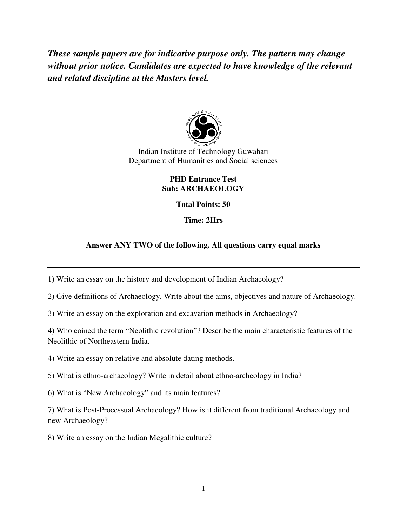*These sample papers are for indicative purpose only. The pattern may change without prior notice. Candidates are expected to have knowledge of the relevant and related discipline at the Masters level.* 



Indian Institute of Technology Guwahati Department of Humanities and Social sciences

#### **PHD Entrance Test Sub: ARCHAEOLOGY**

**Total Points: 50** 

**Time: 2Hrs** 

# **Answer ANY TWO of the following. All questions carry equal marks**

1) Write an essay on the history and development of Indian Archaeology?

2) Give definitions of Archaeology. Write about the aims, objectives and nature of Archaeology.

3) Write an essay on the exploration and excavation methods in Archaeology?

4) Who coined the term "Neolithic revolution"? Describe the main characteristic features of the Neolithic of Northeastern India.

4) Write an essay on relative and absolute dating methods.

5) What is ethno-archaeology? Write in detail about ethno-archeology in India?

6) What is "New Archaeology" and its main features?

7) What is Post-Processual Archaeology? How is it different from traditional Archaeology and new Archaeology?

8) Write an essay on the Indian Megalithic culture?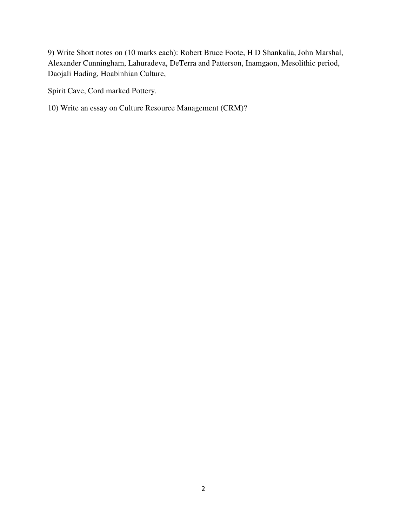9) Write Short notes on (10 marks each): Robert Bruce Foote, H D Shankalia, John Marshal, Alexander Cunningham, Lahuradeva, DeTerra and Patterson, Inamgaon, Mesolithic period, Daojali Hading, Hoabinhian Culture,

Spirit Cave, Cord marked Pottery.

10) Write an essay on Culture Resource Management (CRM)?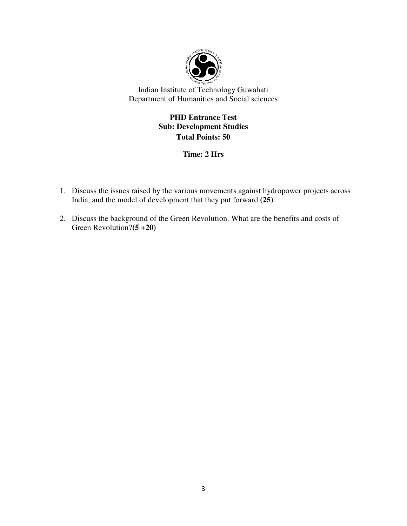

# **PHD Entrance Test Sub: Development Studies Total Points: 50**

# **Time: 2 Hrs**

- 1. Discuss the issues raised by the various movements against hydropower projects across India, and the model of development that they put forward.**(25)**
- 2. Discuss the background of the Green Revolution. What are the benefits and costs of Green Revolution?**(5 +20)**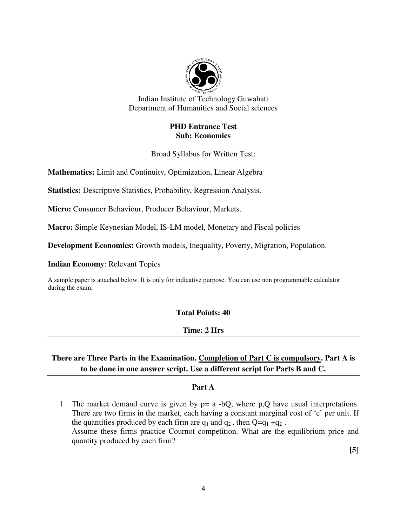

#### **PHD Entrance Test Sub: Economics**

Broad Syllabus for Written Test:

**Mathematics:** Limit and Continuity, Optimization, Linear Algebra

**Statistics:** Descriptive Statistics, Probability, Regression Analysis.

**Micro:** Consumer Behaviour, Producer Behaviour, Markets.

**Macro:** Simple Keynesian Model, IS-LM model, Monetary and Fiscal policies

**Development Economics:** Growth models, Inequality, Poverty, Migration, Population.

**Indian Economy**: Relevant Topics

A sample paper is attached below. It is only for indicative purpose. You can use non programmable calculator during the exam.

#### **Total Points: 40**

#### **Time: 2 Hrs**

# **There are Three Parts in the Examination. Completion of Part C is compulsory. Part A is to be done in one answer script. Use a different script for Parts B and C.**

#### **Part A**

1 The market demand curve is given by p= a -bQ, where p,Q have usual interpretations. There are two firms in the market, each having a constant marginal cost of 'c' per unit. If the quantities produced by each firm are  $q_1$  and  $q_2$ , then  $Q=q_1 + q_2$ . Assume these firms practice Cournot competition. What are the equilibrium price and quantity produced by each firm?

 **[5]**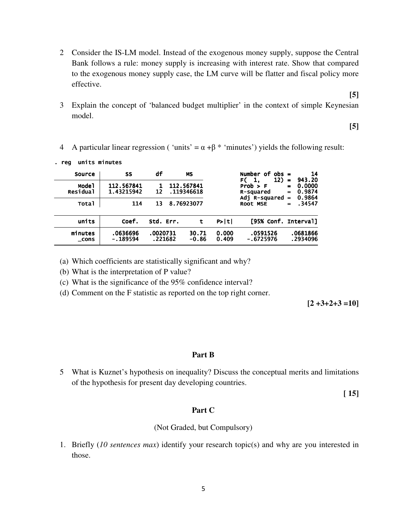- 2 Consider the IS-LM model. Instead of the exogenous money supply, suppose the Central Bank follows a rule: money supply is increasing with interest rate. Show that compared to the exogenous money supply case, the LM curve will be flatter and fiscal policy more effective.
- 3 Explain the concept of 'balanced budget multiplier' in the context of simple Keynesian model.

**[5]** 

**[5]** 

4 A particular linear regression ('units' =  $\alpha + \beta$  \* 'minutes') yields the following result:

| 14<br>943.20<br>$=$<br>0.0000<br>$\blacksquare$<br>0.9874<br>$\blacksquare$ | Number of $obs =$<br>12)<br>F(1,<br>Prob > F<br>R-squared |                | <b>MS</b><br>112.567841<br>.119346618 |                     | df<br>12 | SS<br>112.567841<br>1.43215942 | Source<br>Mode <sub>1</sub><br><b>Residual</b> |
|-----------------------------------------------------------------------------|-----------------------------------------------------------|----------------|---------------------------------------|---------------------|----------|--------------------------------|------------------------------------------------|
| 0.9864<br>$\equiv$<br>.34547<br>$\blacksquare$                              | Adj R-squared<br><b>ROOT MSE</b>                          |                | 8.76923077                            |                     | 13       | 114                            | Total                                          |
|                                                                             | [95% Conf. Interval]                                      | P>  t          | t                                     | Std. Err.           |          | Coef.                          | units                                          |
| .0681866<br>.2934096                                                        | .0591526<br>$-.6725976$                                   | 0.000<br>0.409 | 30.71<br>$-0.86$                      | .0020731<br>.221682 |          | .0636696<br>$-.189594$         | minutes<br>$\_cons$                            |

. reg units minutes

(a) Which coefficients are statistically significant and why?

(b) What is the interpretation of P value?

(c) What is the significance of the 95% confidence interval?

(d) Comment on the F statistic as reported on the top right corner.

 $[2 +3+2+3 =10]$ 

#### **Part B**

5 What is Kuznet's hypothesis on inequality? Discuss the conceptual merits and limitations of the hypothesis for present day developing countries.

**[ 15]** 

#### **Part C**

#### (Not Graded, but Compulsory)

1. Briefly (*10 sentences max*) identify your research topic(s) and why are you interested in those.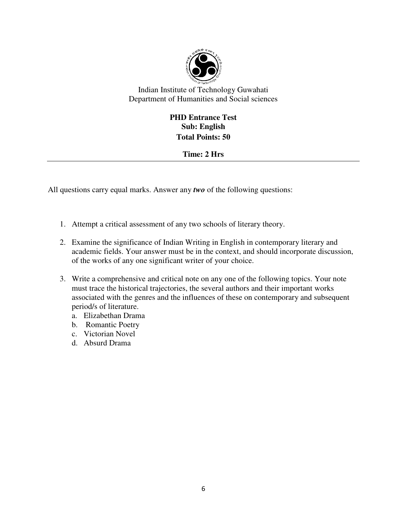

# **PHD Entrance Test Sub: English Total Points: 50**

# **Time: 2 Hrs**

All questions carry equal marks. Answer any *two* of the following questions:

- 1. Attempt a critical assessment of any two schools of literary theory.
- 2. Examine the significance of Indian Writing in English in contemporary literary and academic fields. Your answer must be in the context, and should incorporate discussion, of the works of any one significant writer of your choice.
- 3. Write a comprehensive and critical note on any one of the following topics. Your note must trace the historical trajectories, the several authors and their important works associated with the genres and the influences of these on contemporary and subsequent period/s of literature.
	- a. Elizabethan Drama
	- b. Romantic Poetry
	- c. Victorian Novel
	- d. Absurd Drama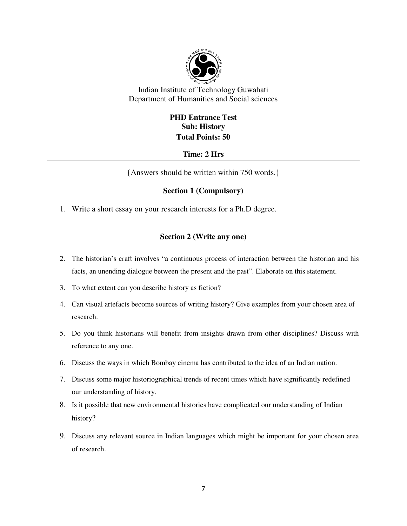

# **PHD Entrance Test Sub: History Total Points: 50**

### **Time: 2 Hrs**

{Answers should be written within 750 words.}

### **Section 1 (Compulsory)**

1. Write a short essay on your research interests for a Ph.D degree.

### **Section 2 (Write any one)**

- 2. The historian's craft involves "a continuous process of interaction between the historian and his facts, an unending dialogue between the present and the past". Elaborate on this statement.
- 3. To what extent can you describe history as fiction?
- 4. Can visual artefacts become sources of writing history? Give examples from your chosen area of research.
- 5. Do you think historians will benefit from insights drawn from other disciplines? Discuss with reference to any one.
- 6. Discuss the ways in which Bombay cinema has contributed to the idea of an Indian nation.
- 7. Discuss some major historiographical trends of recent times which have significantly redefined our understanding of history.
- 8. Is it possible that new environmental histories have complicated our understanding of Indian history?
- 9. Discuss any relevant source in Indian languages which might be important for your chosen area of research.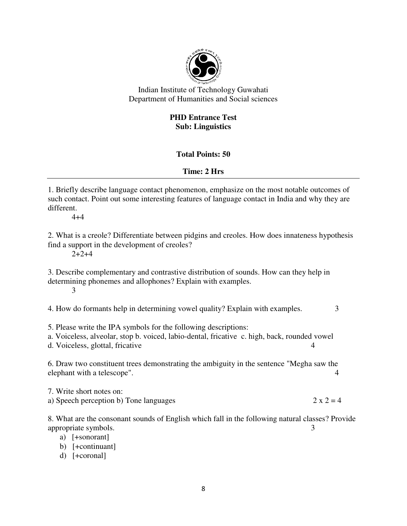

# **PHD Entrance Test Sub: Linguistics**

# **Total Points: 50**

# **Time: 2 Hrs**

1. Briefly describe language contact phenomenon, emphasize on the most notable outcomes of such contact. Point out some interesting features of language contact in India and why they are different.

 $4 + 4$ 

2. What is a creole? Differentiate between pidgins and creoles. How does innateness hypothesis find a support in the development of creoles?

 $2+2+4$ 

3. Describe complementary and contrastive distribution of sounds. How can they help in determining phonemes and allophones? Explain with examples. 3

4. How do formants help in determining vowel quality? Explain with examples. 3

5. Please write the IPA symbols for the following descriptions:

a. Voiceless, alveolar, stop b. voiced, labio-dental, fricative c. high, back, rounded vowel

d. Voiceless, glottal, fricative 4

6. Draw two constituent trees demonstrating the ambiguity in the sentence "Megha saw the elephant with a telescope".  $\frac{4}{3}$ 

7. Write short notes on: a) Speech perception b) Tone languages  $2 \times 2 = 4$ 

8. What are the consonant sounds of English which fall in the following natural classes? Provide appropriate symbols. 3

a) [+sonorant]

b) [+continuant]

d) [+coronal]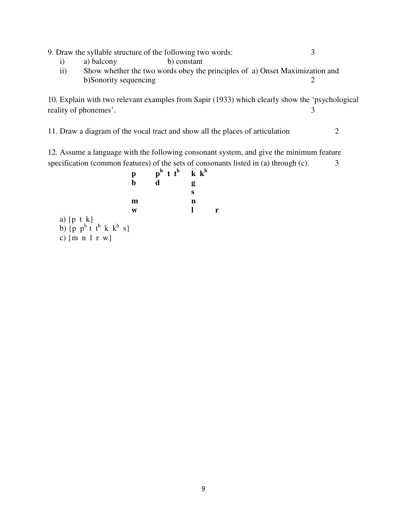9. Draw the syllable structure of the following two words: 3

- i) a) balcony b) constant
- ii) Show whether the two words obey the principles of a) Onset Maximization and b)Sonority sequencing 2

10. Explain with two relevant examples from Sapir (1933) which clearly show the 'psychological reality of phonemes'. 3

11. Draw a diagram of the vocal tract and show all the places of articulation 2

12. Assume a language with the following consonant system, and give the minimum feature specification (common features) of the sets of consonants listed in (a) through  $(c)$ .  $\frac{3}{2}$ 

$$
\begin{array}{cccc}\n & p & p^h & t & t^h & k & k^h \\
 & b & d & g & s & \\
 & m & n & n & \\
 & m & l & r & \\
\text{a) } \{p \mid t \mid k\} & & s & \\
b) \{p \mid p^h \mid t \mid^h \mid k \mid k^h \mid s\} & & \\
c) \{m \mid n \mid r \mid w\}\n\end{array}
$$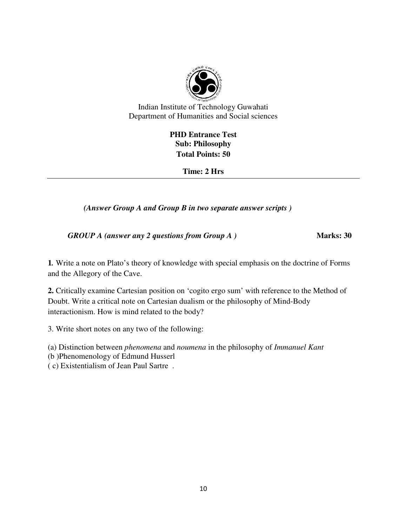

# **PHD Entrance Test Sub: Philosophy Total Points: 50**

**Time: 2 Hrs** 

 *(Answer Group A and Group B in two separate answer scripts )* 

*GROUP A (answer any 2 questions from Group A)* **Marks: 30** 

**1***.* Write a note on Plato's theory of knowledge with special emphasis on the doctrine of Forms and the Allegory of the Cave.

**2.** Critically examine Cartesian position on 'cogito ergo sum' with reference to the Method of Doubt. Write a critical note on Cartesian dualism or the philosophy of Mind-Body interactionism. How is mind related to the body?

3. Write short notes on any two of the following:

(a) Distinction between *phenomena* and *noumena* in the philosophy of *Immanuel Kant* 

(b )Phenomenology of Edmund Husserl

( c) Existentialism of Jean Paul Sartre .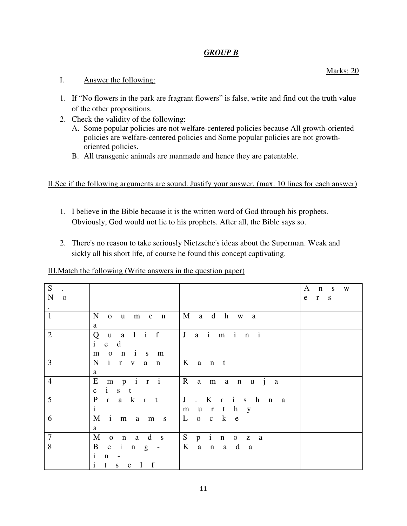# *GROUP B*

### I. Answer the following:

- 1. If "No flowers in the park are fragrant flowers" is false, write and find out the truth value of the other propositions.
- 2. Check the validity of the following:
	- A. Some popular policies are not welfare-centered policies because All growth-oriented policies are welfare-centered policies and Some popular policies are not growthoriented policies.
	- B. All transgenic animals are manmade and hence they are patentable.

II.See if the following arguments are sound. Justify your answer. (max. 10 lines for each answer)

- 1. I believe in the Bible because it is the written word of God through his prophets. Obviously, God would not lie to his prophets. After all, the Bible says so.
- 2. There's no reason to take seriously Nietzsche's ideas about the Superman. Weak and sickly all his short life, of course he found this concept captivating.

III.Match the following (Write answers in the question paper)

| S<br>${\bf N}$<br>$\mathbf{o}$ |                                                                                          |                                     | A<br>$n \simeq$<br>W<br>e r s |
|--------------------------------|------------------------------------------------------------------------------------------|-------------------------------------|-------------------------------|
| $\bullet$<br>$\mathbf{1}$      | $\mathbf N$<br>e n<br>$o$ $u$ $m$<br>a                                                   | M a d h w<br><sub>a</sub>           |                               |
| $\overline{2}$                 | Q u a l i f<br>$\mathbf{i}$<br>e d<br>$o$ $n$ $i$ $s$ $m$<br>m                           | J a i m i n i                       |                               |
| 3                              | i r v a n<br>$\mathbf N$<br>a                                                            | $K$ ant                             |                               |
| $\overline{4}$                 | E<br>$m$ $p$ $i$ $r$ $i$<br>$i$ s t<br>$\mathbf{c}$                                      | $ R$ amanuja                        |                               |
| $5\overline{)}$                | $\mathbf{P}$<br>r a k r t<br>$\mathbf{i}$                                                | J. Krishn<br><sub>a</sub><br>murthy |                               |
| 6                              | M<br>$i$ m<br>a m s<br>a                                                                 | $o$ c $k$ e<br>L                    |                               |
| $\overline{7}$                 | n a d s<br>M<br>$\mathbf{O}$                                                             | S<br>$p$ i<br>n o z a               |                               |
| 8                              | $\mathbf{B}$<br>$i$ n $g$ -<br>e<br>$\mathbf{i}$<br>$\mathbf n$<br>i<br>$s$ e $1$ f<br>t | $K$ an ad<br><sub>a</sub>           |                               |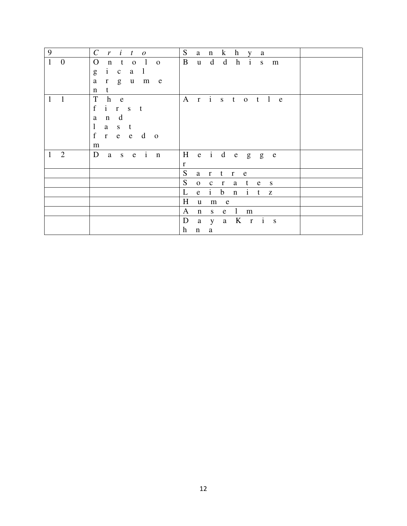| 9<br>$\boldsymbol{i}$<br>$\mathcal{C}_{\mathcal{C}}$<br>$\mathcal{r}$<br>t<br>$\mathcal{O}$                       | S<br>$\bf k$<br>$\mathbf h$<br>a<br>$\mathbf n$<br><b>V</b><br>a                       |
|-------------------------------------------------------------------------------------------------------------------|----------------------------------------------------------------------------------------|
| $\overline{0}$<br>$\mathbf{O}$<br>$\mathbf{1}$<br>t<br>$\mathbf{1}$<br>$\mathbf n$<br>$\mathbf{O}$<br>$\mathbf 0$ | B<br>d<br>$\mathbf d$<br>h<br>$\mathbf{i}$<br>$\mathbf{u}$<br>S<br>m                   |
| $\mathbf{i}$<br>g<br>$\mathbf{l}$<br>$\mathbf c$<br>$\mathbf{a}$                                                  |                                                                                        |
| $\mathbf{a}$<br>g<br>$\mathbf{u}$<br>m<br>e<br>$\bf r$                                                            |                                                                                        |
| $\mathbf t$<br>n                                                                                                  |                                                                                        |
| T<br>h<br>1<br>1<br>e                                                                                             | r i s t o t l e<br>$\mathbf{A}$                                                        |
| $f_{\parallel}$<br>$i$ $r$ $s$<br>t                                                                               |                                                                                        |
| d<br>a<br>$\mathbf n$                                                                                             |                                                                                        |
| $\mathbf{1}$<br>a<br>S<br>$\mathbf{t}$                                                                            |                                                                                        |
| $f_{\perp}$<br>$e$ $e$<br>$\mathbf d$<br>r<br>$\overline{0}$                                                      |                                                                                        |
| m                                                                                                                 |                                                                                        |
| $s$ e $i$ n<br>$\overline{2}$<br>D<br>$\mathbf{a}$<br>1                                                           | $e$ i d $e$<br>H<br>g<br>g<br>$\mathbf{e}$                                             |
|                                                                                                                   | $\mathbf{r}$                                                                           |
|                                                                                                                   | S<br>a<br>t<br>$\bf r$<br>$\mathbf{r}$<br>e                                            |
|                                                                                                                   | S<br>$\mathbf 0$<br>t e<br>$\mathbf{C}$<br>$\mathbf{r}$<br>a<br>S                      |
|                                                                                                                   | $\mathbf{i}$<br>L<br>$\mathbf b$<br>$\mathbf{i}$<br>${\bf e}$<br>$\mathbf n$<br>t<br>Z |
|                                                                                                                   | H<br>$\mathbf u$<br>${\bf m}$<br>e                                                     |
|                                                                                                                   | $\mathbf{1}$<br>$\mathbf{A}$<br>$\mathbf n$<br>${\bf S}^-$<br>${\bf m}$<br>e           |
|                                                                                                                   | K r i s<br>$\mathbf D$<br>$\mathbf{a}$<br>$\mathbf{a}$<br>$\mathbf{y}$                 |
|                                                                                                                   | h<br>$\mathbf{a}$<br>$\mathbf n$                                                       |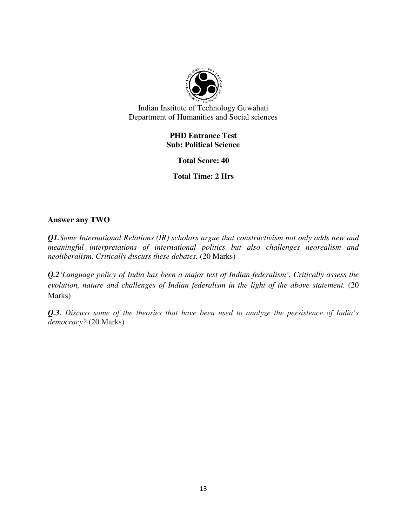

## **PHD Entrance Test Sub: Political Science**

**Total Score: 40** 

**Total Time: 2 Hrs** 

### **Answer any TWO**

*Q1.Some International Relations (IR) scholars argue that constructivism not only adds new and meaningful interpretations of international politics but also challenges neorealism and neoliberalism. Critically discuss these debates.* (20 Marks)

*Q.2'Language policy of India has been a major test of Indian federalism'. Critically assess the evolution, nature and challenges of Indian federalism in the light of the above statement.* (20 Marks)

*Q.3. Discuss some of the theories that have been used to analyze the persistence of India's democracy?* (20 Marks)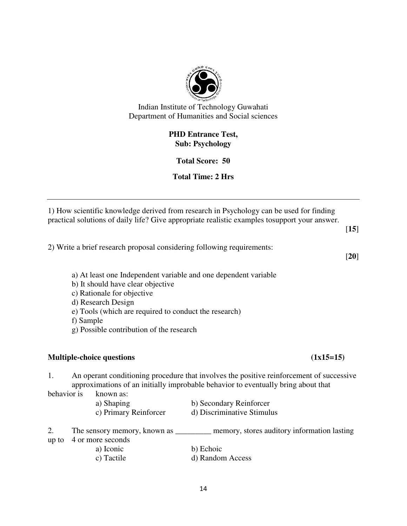

# **PHD Entrance Test, Sub: Psychology**

# **Total Score: 50**

# **Total Time: 2 Hrs**

1) How scientific knowledge derived from research in Psychology can be used for finding practical solutions of daily life? Give appropriate realistic examples tosupport your answer.

[**15**]

2) Write a brief research proposal considering following requirements:

[**20**]

- a) At least one Independent variable and one dependent variable
- b) It should have clear objective
- c) Rationale for objective
- d) Research Design
- e) Tools (which are required to conduct the research)
- f) Sample
- g) Possible contribution of the research

# **Multiple-choice questions (1x15=15)**

1. An operant conditioning procedure that involves the positive reinforcement of successive approximations of an initially improbable behavior to eventually bring about that

behavior is known as:

- a) Shaping b) Secondary Reinforcer
- c) Primary Reinforcer d) Discriminative Stimulus

2. The sensory memory, known as \_\_\_\_\_\_\_\_\_ memory, stores auditory information lasting up to 4 or more seconds

| a) Iconic  | b) Echoic        |
|------------|------------------|
| c) Tactile | d) Random Access |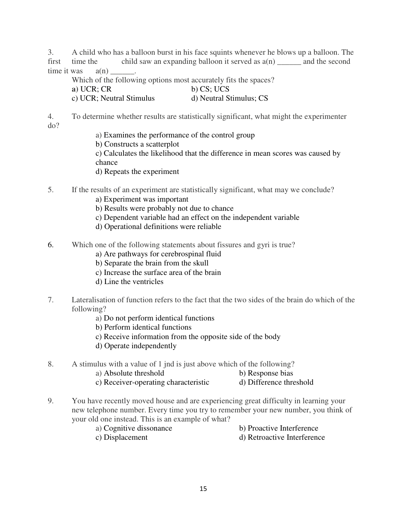3. A child who has a balloon burst in his face squints whenever he blows up a balloon. The first time the child saw an expanding balloon it served as  $a(n)$  and the second time it was  $a(n)$ 

Which of the following options most accurately fits the spaces?

- **a**) UCR; CR **b**) CS; UCS
- c) UCR; Neutral Stimulus d) Neutral Stimulus; CS

4. To determine whether results are statistically significant, what might the experimenter do?

- a) Examines the performance of the control group
- b) Constructs a scatterplot

c) Calculates the likelihood that the difference in mean scores was caused by chance

- d) Repeats the experiment
- 5. If the results of an experiment are statistically significant, what may we conclude?
	- a) Experiment was important
	- b) Results were probably not due to chance
	- c) Dependent variable had an effect on the independent variable
	- d) Operational definitions were reliable
- 6. Which one of the following statements about fissures and gyri is true?
	- a) Are pathways for cerebrospinal fluid
	- b) Separate the brain from the skull
	- c) Increase the surface area of the brain
	- d) Line the ventricles
- 7. Lateralisation of function refers to the fact that the two sides of the brain do which of the following?
	- a) Do not perform identical functions
	- b) Perform identical functions
	- c) Receive information from the opposite side of the body
	- d) Operate independently
- 8. A stimulus with a value of 1 jnd is just above which of the following?
	- a) Absolute threshold b) Response bias
		-
	- c) Receiver-operating characteristic d) Difference threshold
- 9. You have recently moved house and are experiencing great difficulty in learning your new telephone number. Every time you try to remember your new number, you think of your old one instead. This is an example of what?
	- a) Cognitive dissonance b) Proactive Interference
		-
- 
- c) Displacement d) Retroactive Interference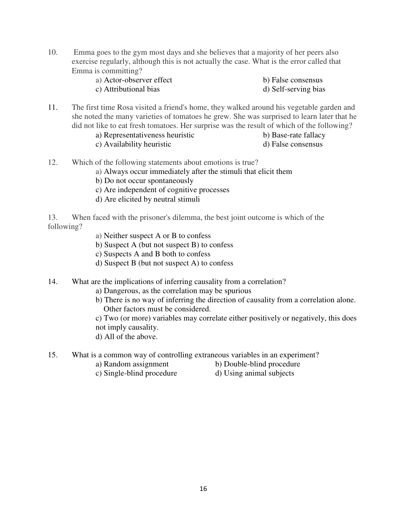10. Emma goes to the gym most days and she believes that a majority of her peers also exercise regularly, although this is not actually the case. What is the error called that Emma is committing?

| a) Actor-observer effect | b) False consensus   |
|--------------------------|----------------------|
| c) Attributional bias    | d) Self-serving bias |

- 11. The first time Rosa visited a friend's home, they walked around his vegetable garden and she noted the many varieties of tomatoes he grew. She was surprised to learn later that he did not like to eat fresh tomatoes. Her surprise was the result of which of the following?
	- a) Representativeness heuristic b) Base-rate fallacy
	- c) Availability heuristic d) False consensus
- 

- 
- 12. Which of the following statements about emotions is true?
	- a) Always occur immediately after the stimuli that elicit them
	- b) Do not occur spontaneously
	- c) Are independent of cognitive processes
	- d) Are elicited by neutral stimuli

13. When faced with the prisoner's dilemma, the best joint outcome is which of the following?

- a) Neither suspect A or B to confess
- b) Suspect A (but not suspect B) to confess
- c) Suspects A and B both to confess
- d) Suspect B (but not suspect A) to confess
- 14. What are the implications of inferring causality from a correlation?
	- a) Dangerous, as the correlation may be spurious
	- b) There is no way of inferring the direction of causality from a correlation alone. Other factors must be considered.

c) Two (or more) variables may correlate either positively or negatively, this does not imply causality.

- d) All of the above.
- 15. What is a common way of controlling extraneous variables in an experiment?
	-
	- a) Random assignment b) Double-blind procedure
	- c) Single-blind procedure d) Using animal subjects
		-